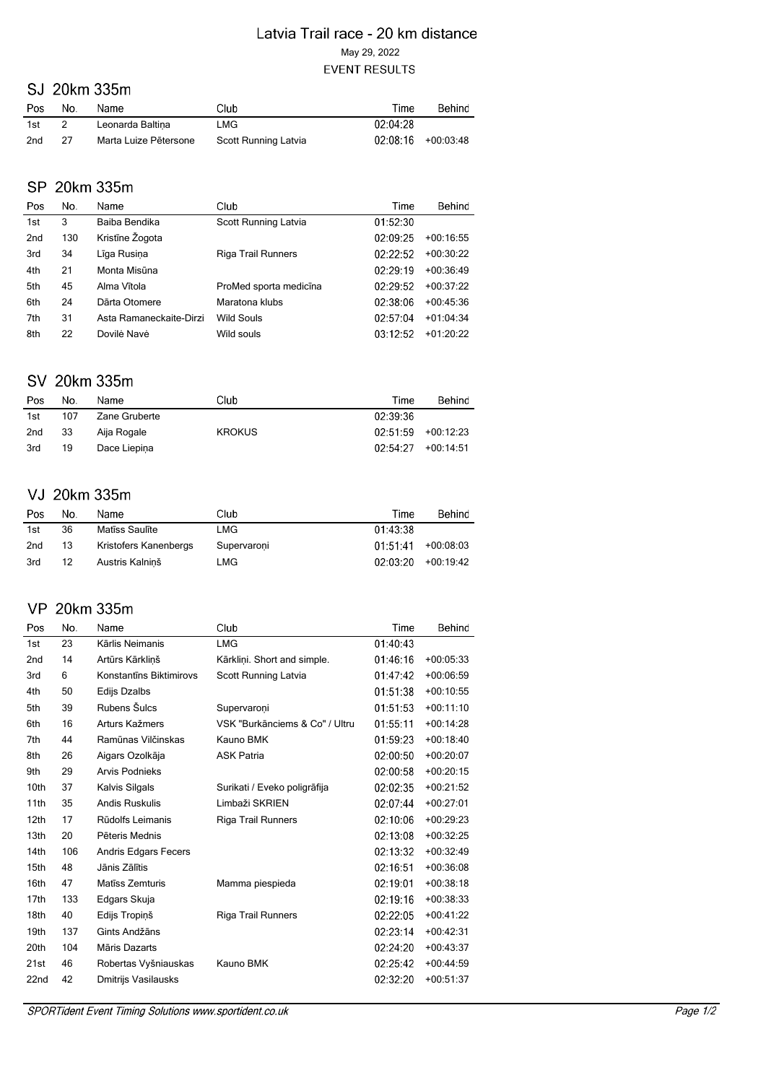#### Latvia Trail race - 20 km distance May 29, 2022 **EVENT RESULTS**

## SJ 20km 335m

| <b>Pos</b> | No. | Name                  | Club                 | Time     | Behind               |
|------------|-----|-----------------------|----------------------|----------|----------------------|
| 1st        |     | Leonarda Baltina      | LMG                  | 02:04:28 |                      |
| 2nd        | 27  | Marta Luize Pētersone | Scott Running Latvia |          | $02:08:16$ +00:03:48 |

#### SP 20km 335m

| Pos             | No. | Name                    | Club                      | Time     | Behind      |
|-----------------|-----|-------------------------|---------------------------|----------|-------------|
| 1st             | 3   | Baiba Bendika           | Scott Running Latvia      | 01:52:30 |             |
| 2 <sub>nd</sub> | 130 | Kristīne Žogota         |                           | 02:09:25 | $+00:16:55$ |
| 3rd             | 34  | Līga Rusina             | <b>Riga Trail Runners</b> | 02:22:52 | $+00:30:22$ |
| 4th             | 21  | Monta Misūna            |                           | 02:29:19 | $+00:36:49$ |
| 5th             | 45  | Alma Vītola             | ProMed sporta medicina    | 02:29:52 | $+00:37:22$ |
| 6th             | 24  | Dārta Otomere           | Maratona klubs            | 02:38:06 | $+00:45:36$ |
| 7th             | 31  | Asta Ramaneckaite-Dirzi | Wild Souls                | 02:57:04 | $+01:04:34$ |
| 8th             | 22  | Dovilė Navė             | Wild souls                | 03:12:52 | $+01:20:22$ |

#### SV 20km 335m

| Pos | No. | Name          | Club          | Time     | Behind      |
|-----|-----|---------------|---------------|----------|-------------|
| 1st | 107 | Zane Gruberte |               | 02:39:36 |             |
| 2nd | 33  | Aija Rogale   | <b>KROKUS</b> | 02:51:59 | $+00:12:23$ |
| 3rd | 19  | Dace Liepina  |               | 02:54:27 | $+00:14:51$ |

### VJ 20km 335m

| Pos             | No. | Name                  | Club        | Time     | Behind      |
|-----------------|-----|-----------------------|-------------|----------|-------------|
| 1st             | 36  | Matīss Saulīte        | LMG         | 01:43:38 |             |
| 2 <sub>nd</sub> | 13  | Kristofers Kanenbergs | Supervaroni | 01:51:41 | $+00:08:03$ |
| 3rd             | 12  | Austris Kalninš       | LMG         | 02:03:20 | $+00:19:42$ |

## VP 20km 335m

| Pos              | No. | Name                        | Club                           | Time     | Behind      |
|------------------|-----|-----------------------------|--------------------------------|----------|-------------|
| 1st              | 23  | Kārlis Neimanis             | <b>LMG</b>                     | 01:40:43 |             |
| 2nd              | 14  | Artūrs Kārklinš             | Kärklini. Short and simple.    | 01:46:16 | $+00:05:33$ |
| 3rd              | 6   | Konstantīns Biktimirovs     | Scott Running Latvia           | 01:47:42 | $+00:06:59$ |
| 4th              | 50  | Edijs Dzalbs                |                                | 01:51:38 | $+00:10:55$ |
| 5th              | 39  | Rubens Šulcs                | Supervaroni                    | 01:51:53 | $+00:11:10$ |
| 6th              | 16  | Arturs Kažmers              | VSK "Burkānciems & Co" / Ultru | 01:55:11 | $+00:14:28$ |
| 7th              | 44  | Ramūnas Vilčinskas          | Kauno BMK                      | 01:59:23 | $+00:18:40$ |
| 8th              | 26  | Aigars Ozolkāja             | <b>ASK Patria</b>              | 02:00:50 | $+00:20:07$ |
| 9th              | 29  | Arvis Podnieks              |                                | 02:00:58 | $+00:20:15$ |
| 10th             | 37  | Kalvis Silgals              | Surikati / Eveko poligrāfija   | 02:02:35 | $+00:21:52$ |
| 11th             | 35  | Andis Ruskulis              | Limbaži SKRIEN                 | 02:07:44 | $+00:27:01$ |
| 12 <sub>th</sub> | 17  | Rūdolfs Leimanis            | Riga Trail Runners             | 02:10:06 | $+00:29:23$ |
| 13 <sub>th</sub> | 20  | Pēteris Mednis              |                                | 02:13:08 | $+00:32:25$ |
| 14th             | 106 | <b>Andris Edgars Fecers</b> |                                | 02:13:32 | $+00:32:49$ |
| 15th             | 48  | Jānis Zālītis               |                                | 02:16:51 | $+00:36:08$ |
| 16th             | 47  | Matīss Zemturis             | Mamma piespieda                | 02:19.01 | $+00:38:18$ |
| 17 <sub>th</sub> | 133 | Edgars Skuja                |                                | 02:19:16 | $+00:38:33$ |
| 18th             | 40  | Edijs Tropinš               | Riga Trail Runners             | 02:22:05 | $+00:41:22$ |
| 19th             | 137 | Gints Andžāns               |                                | 02:23:14 | $+00:42:31$ |
| 20th             | 104 | Māris Dazarts               |                                | 02:24:20 | $+00:43:37$ |
| 21st             | 46  | Robertas Vyšniauskas        | Kauno BMK                      | 02:25:42 | $+00:44:59$ |
| 22nd             | 42  | Dmitrijs Vasilausks         |                                | 02:32:20 | $+00:51:37$ |